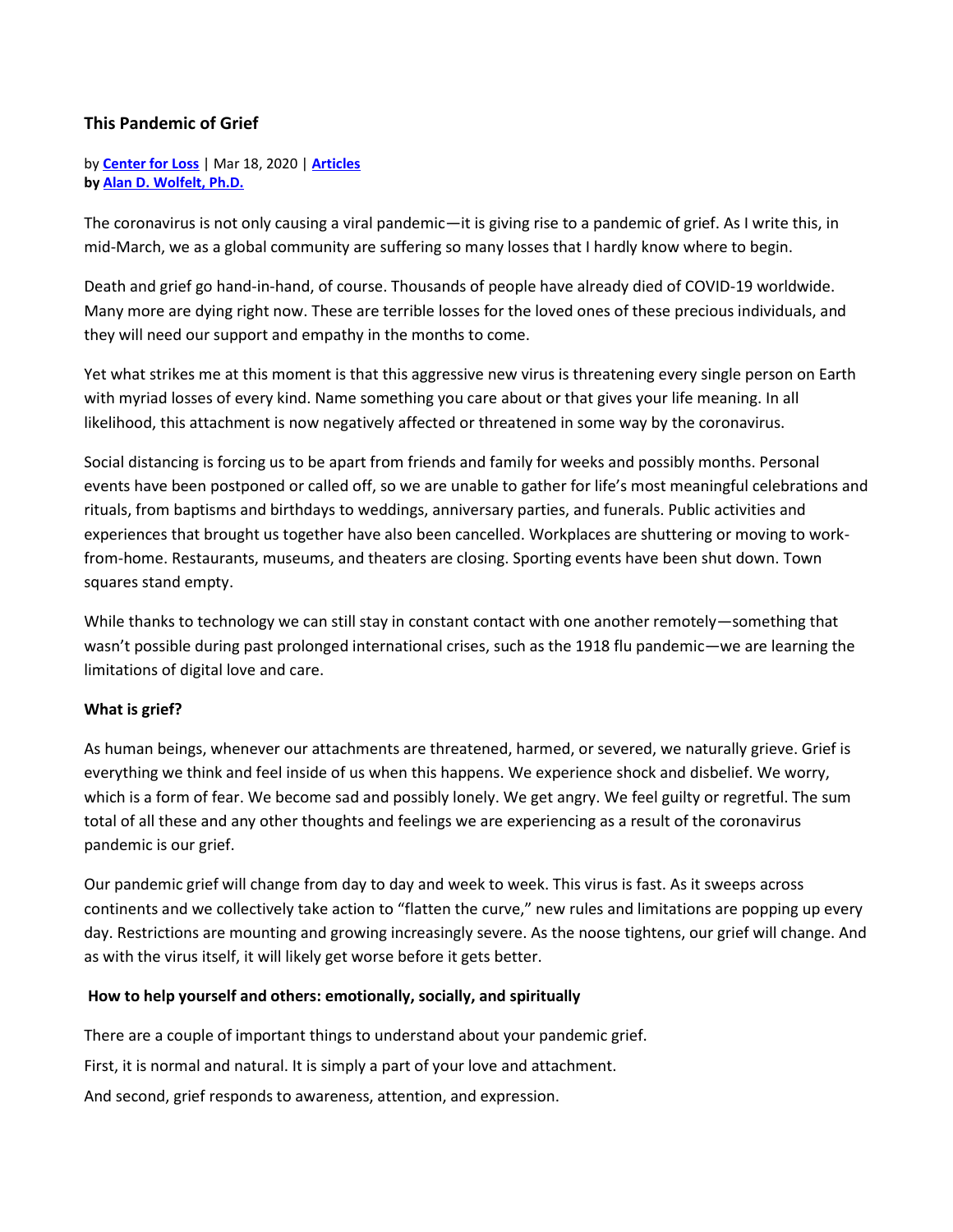## **This Pandemic of Grief**

by **[Center for Loss](https://www.centerforloss.com/author/bookscenterforloss-com/)** | Mar 18, 2020 | **[Articles](https://www.centerforloss.com/category/articles/) by [Alan D. Wolfelt, Ph.D.](https://www.centerforloss.com/about-the-center-for-loss/about-dr-alan-wolfelt/)**

The coronavirus is not only causing a viral pandemic—it is giving rise to a pandemic of grief. As I write this, in mid-March, we as a global community are suffering so many losses that I hardly know where to begin.

Death and grief go hand-in-hand, of course. Thousands of people have already died of COVID-19 worldwide. Many more are dying right now. These are terrible losses for the loved ones of these precious individuals, and they will need our support and empathy in the months to come.

Yet what strikes me at this moment is that this aggressive new virus is threatening every single person on Earth with myriad losses of every kind. Name something you care about or that gives your life meaning. In all likelihood, this attachment is now negatively affected or threatened in some way by the coronavirus.

Social distancing is forcing us to be apart from friends and family for weeks and possibly months. Personal events have been postponed or called off, so we are unable to gather for life's most meaningful celebrations and rituals, from baptisms and birthdays to weddings, anniversary parties, and funerals. Public activities and experiences that brought us together have also been cancelled. Workplaces are shuttering or moving to workfrom-home. Restaurants, museums, and theaters are closing. Sporting events have been shut down. Town squares stand empty.

While thanks to technology we can still stay in constant contact with one another remotely—something that wasn't possible during past prolonged international crises, such as the 1918 flu pandemic—we are learning the limitations of digital love and care.

## **What is grief?**

As human beings, whenever our attachments are threatened, harmed, or severed, we naturally grieve. Grief is everything we think and feel inside of us when this happens. We experience shock and disbelief. We worry, which is a form of fear. We become sad and possibly lonely. We get angry. We feel guilty or regretful. The sum total of all these and any other thoughts and feelings we are experiencing as a result of the coronavirus pandemic is our grief.

Our pandemic grief will change from day to day and week to week. This virus is fast. As it sweeps across continents and we collectively take action to "flatten the curve," new rules and limitations are popping up every day. Restrictions are mounting and growing increasingly severe. As the noose tightens, our grief will change. And as with the virus itself, it will likely get worse before it gets better.

## **How to help yourself and others: emotionally, socially, and spiritually**

There are a couple of important things to understand about your pandemic grief.

First, it is normal and natural. It is simply a part of your love and attachment.

And second, grief responds to awareness, attention, and expression.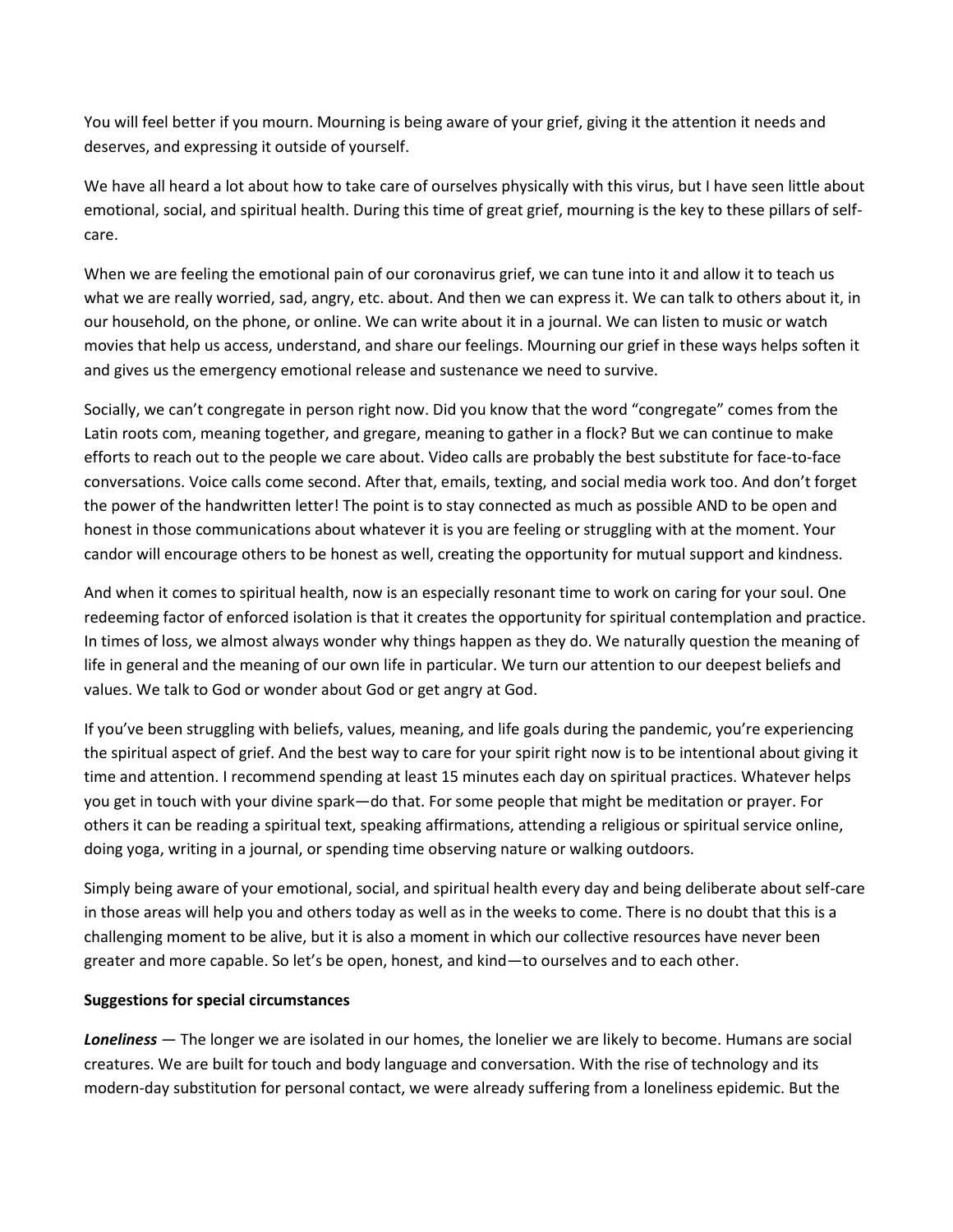You will feel better if you mourn. Mourning is being aware of your grief, giving it the attention it needs and deserves, and expressing it outside of yourself.

We have all heard a lot about how to take care of ourselves physically with this virus, but I have seen little about emotional, social, and spiritual health. During this time of great grief, mourning is the key to these pillars of selfcare.

When we are feeling the emotional pain of our coronavirus grief, we can tune into it and allow it to teach us what we are really worried, sad, angry, etc. about. And then we can express it. We can talk to others about it, in our household, on the phone, or online. We can write about it in a journal. We can listen to music or watch movies that help us access, understand, and share our feelings. Mourning our grief in these ways helps soften it and gives us the emergency emotional release and sustenance we need to survive.

Socially, we can't congregate in person right now. Did you know that the word "congregate" comes from the Latin roots com, meaning together, and gregare, meaning to gather in a flock? But we can continue to make efforts to reach out to the people we care about. Video calls are probably the best substitute for face-to-face conversations. Voice calls come second. After that, emails, texting, and social media work too. And don't forget the power of the handwritten letter! The point is to stay connected as much as possible AND to be open and honest in those communications about whatever it is you are feeling or struggling with at the moment. Your candor will encourage others to be honest as well, creating the opportunity for mutual support and kindness.

And when it comes to spiritual health, now is an especially resonant time to work on caring for your soul. One redeeming factor of enforced isolation is that it creates the opportunity for spiritual contemplation and practice. In times of loss, we almost always wonder why things happen as they do. We naturally question the meaning of life in general and the meaning of our own life in particular. We turn our attention to our deepest beliefs and values. We talk to God or wonder about God or get angry at God.

If you've been struggling with beliefs, values, meaning, and life goals during the pandemic, you're experiencing the spiritual aspect of grief. And the best way to care for your spirit right now is to be intentional about giving it time and attention. I recommend spending at least 15 minutes each day on spiritual practices. Whatever helps you get in touch with your divine spark—do that. For some people that might be meditation or prayer. For others it can be reading a spiritual text, speaking affirmations, attending a religious or spiritual service online, doing yoga, writing in a journal, or spending time observing nature or walking outdoors.

Simply being aware of your emotional, social, and spiritual health every day and being deliberate about self-care in those areas will help you and others today as well as in the weeks to come. There is no doubt that this is a challenging moment to be alive, but it is also a moment in which our collective resources have never been greater and more capable. So let's be open, honest, and kind—to ourselves and to each other.

## **Suggestions for special circumstances**

*Loneliness* — The longer we are isolated in our homes, the lonelier we are likely to become. Humans are social creatures. We are built for touch and body language and conversation. With the rise of technology and its modern-day substitution for personal contact, we were already suffering from a loneliness epidemic. But the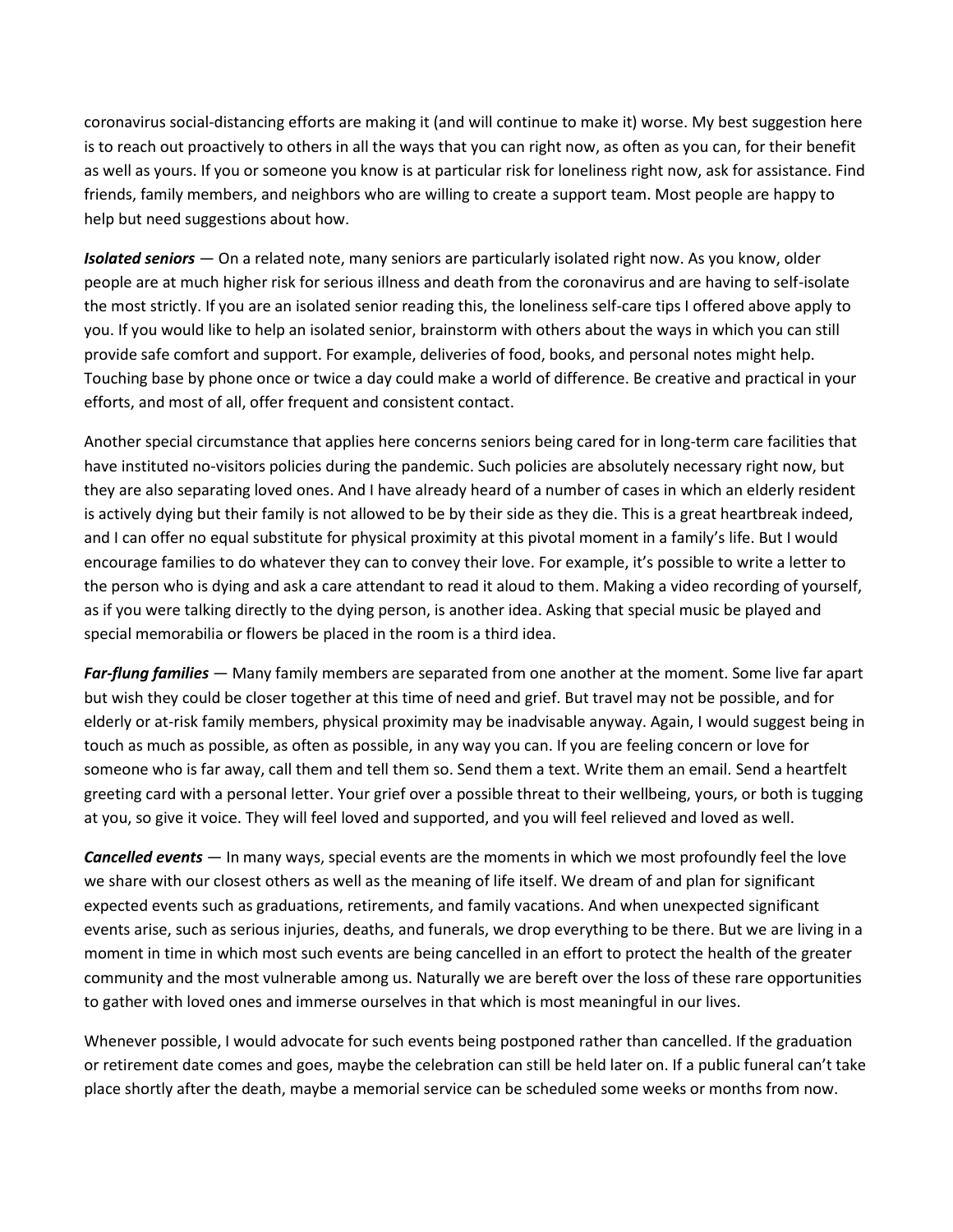coronavirus social-distancing efforts are making it (and will continue to make it) worse. My best suggestion here is to reach out proactively to others in all the ways that you can right now, as often as you can, for their benefit as well as yours. If you or someone you know is at particular risk for loneliness right now, ask for assistance. Find friends, family members, and neighbors who are willing to create a support team. Most people are happy to help but need suggestions about how.

*Isolated seniors* — On a related note, many seniors are particularly isolated right now. As you know, older people are at much higher risk for serious illness and death from the coronavirus and are having to self-isolate the most strictly. If you are an isolated senior reading this, the loneliness self-care tips I offered above apply to you. If you would like to help an isolated senior, brainstorm with others about the ways in which you can still provide safe comfort and support. For example, deliveries of food, books, and personal notes might help. Touching base by phone once or twice a day could make a world of difference. Be creative and practical in your efforts, and most of all, offer frequent and consistent contact.

Another special circumstance that applies here concerns seniors being cared for in long-term care facilities that have instituted no-visitors policies during the pandemic. Such policies are absolutely necessary right now, but they are also separating loved ones. And I have already heard of a number of cases in which an elderly resident is actively dying but their family is not allowed to be by their side as they die. This is a great heartbreak indeed, and I can offer no equal substitute for physical proximity at this pivotal moment in a family's life. But I would encourage families to do whatever they can to convey their love. For example, it's possible to write a letter to the person who is dying and ask a care attendant to read it aloud to them. Making a video recording of yourself, as if you were talking directly to the dying person, is another idea. Asking that special music be played and special memorabilia or flowers be placed in the room is a third idea.

*Far-flung families* — Many family members are separated from one another at the moment. Some live far apart but wish they could be closer together at this time of need and grief. But travel may not be possible, and for elderly or at-risk family members, physical proximity may be inadvisable anyway. Again, I would suggest being in touch as much as possible, as often as possible, in any way you can. If you are feeling concern or love for someone who is far away, call them and tell them so. Send them a text. Write them an email. Send a heartfelt greeting card with a personal letter. Your grief over a possible threat to their wellbeing, yours, or both is tugging at you, so give it voice. They will feel loved and supported, and you will feel relieved and loved as well.

*Cancelled events* — In many ways, special events are the moments in which we most profoundly feel the love we share with our closest others as well as the meaning of life itself. We dream of and plan for significant expected events such as graduations, retirements, and family vacations. And when unexpected significant events arise, such as serious injuries, deaths, and funerals, we drop everything to be there. But we are living in a moment in time in which most such events are being cancelled in an effort to protect the health of the greater community and the most vulnerable among us. Naturally we are bereft over the loss of these rare opportunities to gather with loved ones and immerse ourselves in that which is most meaningful in our lives.

Whenever possible, I would advocate for such events being postponed rather than cancelled. If the graduation or retirement date comes and goes, maybe the celebration can still be held later on. If a public funeral can't take place shortly after the death, maybe a memorial service can be scheduled some weeks or months from now.